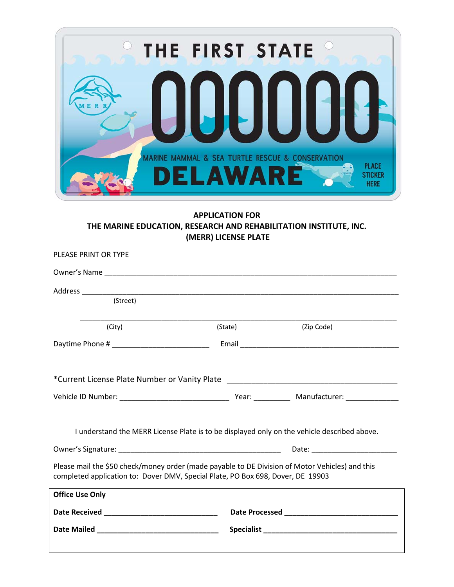

### **APPLICATION FOR THE MARINE EDUCATION, RESEARCH AND REHABILITATION INSTITUTE, INC. (MERR) LICENSE PLATE**

| (Street)                                                                                                                                                                           |         |                                                                                             |
|------------------------------------------------------------------------------------------------------------------------------------------------------------------------------------|---------|---------------------------------------------------------------------------------------------|
|                                                                                                                                                                                    |         |                                                                                             |
| (City)                                                                                                                                                                             | (State) | (Zip Code)                                                                                  |
|                                                                                                                                                                                    |         |                                                                                             |
|                                                                                                                                                                                    |         |                                                                                             |
| *Current License Plate Number or Vanity Plate __________________________________                                                                                                   |         |                                                                                             |
|                                                                                                                                                                                    |         |                                                                                             |
|                                                                                                                                                                                    |         | I understand the MERR License Plate is to be displayed only on the vehicle described above. |
|                                                                                                                                                                                    |         |                                                                                             |
| Please mail the \$50 check/money order (made payable to DE Division of Motor Vehicles) and this<br>completed application to: Dover DMV, Special Plate, PO Box 698, Dover, DE 19903 |         |                                                                                             |
| <b>Office Use Only</b>                                                                                                                                                             |         |                                                                                             |
|                                                                                                                                                                                    |         |                                                                                             |